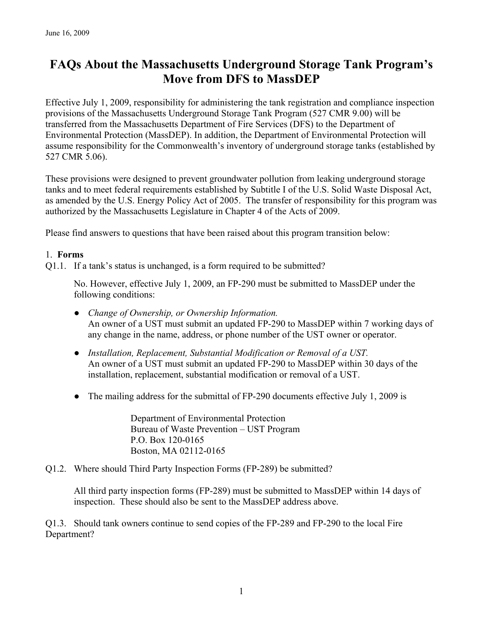# **FAQs About the Massachusetts Underground Storage Tank Program's Move from DFS to MassDEP**

Effective July 1, 2009, responsibility for administering the tank registration and compliance inspection provisions of the Massachusetts Underground Storage Tank Program (527 CMR 9.00) will be transferred from the Massachusetts Department of Fire Services (DFS) to the Department of Environmental Protection (MassDEP). In addition, the Department of Environmental Protection will assume responsibility for the Commonwealth's inventory of underground storage tanks (established by 527 CMR 5.06).

These provisions were designed to prevent groundwater pollution from leaking underground storage tanks and to meet federal requirements established by Subtitle I of the U.S. Solid Waste Disposal Act, as amended by the U.S. Energy Policy Act of 2005. The transfer of responsibility for this program was authorized by the Massachusetts Legislature in Chapter 4 of the Acts of 2009.

Please find answers to questions that have been raised about this program transition below:

## 1. **Forms**

Q1.1. If a tank's status is unchanged, is a form required to be submitted?

No. However, effective July 1, 2009, an FP-290 must be submitted to MassDEP under the following conditions:

- *Change of Ownership, or Ownership Information.*  An owner of a UST must submit an updated FP-290 to MassDEP within 7 working days of any change in the name, address, or phone number of the UST owner or operator.
- *Installation, Replacement, Substantial Modification or Removal of a UST.*  An owner of a UST must submit an updated FP-290 to MassDEP within 30 days of the installation, replacement, substantial modification or removal of a UST.
- The mailing address for the submittal of FP-290 documents effective July 1, 2009 is

Department of Environmental Protection Bureau of Waste Prevention – UST Program P.O. Box 120-0165 Boston, MA 02112-0165

Q1.2. Where should Third Party Inspection Forms (FP-289) be submitted?

All third party inspection forms (FP-289) must be submitted to MassDEP within 14 days of inspection. These should also be sent to the MassDEP address above.

Q1.3. Should tank owners continue to send copies of the FP-289 and FP-290 to the local Fire Department?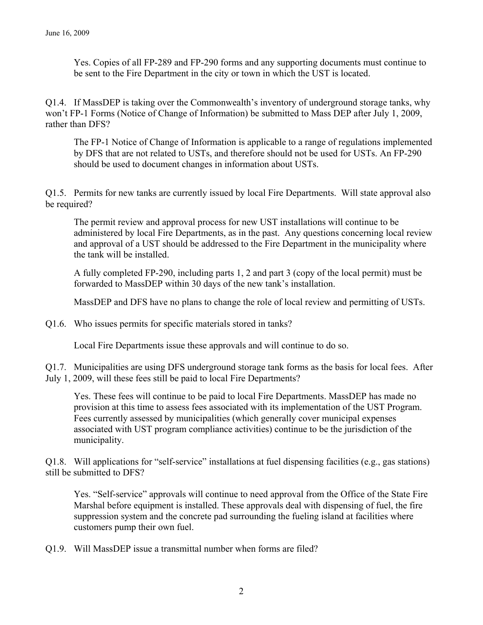Yes. Copies of all FP-289 and FP-290 forms and any supporting documents must continue to be sent to the Fire Department in the city or town in which the UST is located.

Q1.4. If MassDEP is taking over the Commonwealth's inventory of underground storage tanks, why won't FP-1 Forms (Notice of Change of Information) be submitted to Mass DEP after July 1, 2009, rather than DFS?

The FP-1 Notice of Change of Information is applicable to a range of regulations implemented by DFS that are not related to USTs, and therefore should not be used for USTs. An FP-290 should be used to document changes in information about USTs.

Q1.5. Permits for new tanks are currently issued by local Fire Departments. Will state approval also be required?

The permit review and approval process for new UST installations will continue to be administered by local Fire Departments, as in the past. Any questions concerning local review and approval of a UST should be addressed to the Fire Department in the municipality where the tank will be installed.

A fully completed FP-290, including parts 1, 2 and part 3 (copy of the local permit) must be forwarded to MassDEP within 30 days of the new tank's installation.

MassDEP and DFS have no plans to change the role of local review and permitting of USTs.

Q1.6. Who issues permits for specific materials stored in tanks?

Local Fire Departments issue these approvals and will continue to do so.

Q1.7. Municipalities are using DFS underground storage tank forms as the basis for local fees. After July 1, 2009, will these fees still be paid to local Fire Departments?

Yes. These fees will continue to be paid to local Fire Departments. MassDEP has made no provision at this time to assess fees associated with its implementation of the UST Program. Fees currently assessed by municipalities (which generally cover municipal expenses associated with UST program compliance activities) continue to be the jurisdiction of the municipality.

Q1.8. Will applications for "self-service" installations at fuel dispensing facilities (e.g., gas stations) still be submitted to DFS?

Yes. "Self-service" approvals will continue to need approval from the Office of the State Fire Marshal before equipment is installed. These approvals deal with dispensing of fuel, the fire suppression system and the concrete pad surrounding the fueling island at facilities where customers pump their own fuel.

Q1.9. Will MassDEP issue a transmittal number when forms are filed?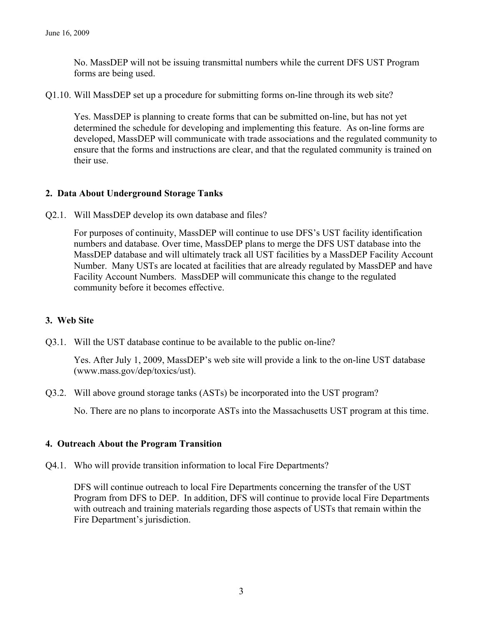No. MassDEP will not be issuing transmittal numbers while the current DFS UST Program forms are being used.

Q1.10. Will MassDEP set up a procedure for submitting forms on-line through its web site?

Yes. MassDEP is planning to create forms that can be submitted on-line, but has not yet determined the schedule for developing and implementing this feature. As on-line forms are developed, MassDEP will communicate with trade associations and the regulated community to ensure that the forms and instructions are clear, and that the regulated community is trained on their use.

## **2. Data About Underground Storage Tanks**

Q2.1. Will MassDEP develop its own database and files?

For purposes of continuity, MassDEP will continue to use DFS's UST facility identification numbers and database. Over time, MassDEP plans to merge the DFS UST database into the MassDEP database and will ultimately track all UST facilities by a MassDEP Facility Account Number. Many USTs are located at facilities that are already regulated by MassDEP and have Facility Account Numbers. MassDEP will communicate this change to the regulated community before it becomes effective.

## **3. Web Site**

Q3.1. Will the UST database continue to be available to the public on-line?

Yes. After July 1, 2009, MassDEP's web site will provide a link to the on-line UST database (www.mass.gov/dep/toxics/ust).

Q3.2. Will above ground storage tanks (ASTs) be incorporated into the UST program?

No. There are no plans to incorporate ASTs into the Massachusetts UST program at this time.

## **4. Outreach About the Program Transition**

Q4.1. Who will provide transition information to local Fire Departments?

DFS will continue outreach to local Fire Departments concerning the transfer of the UST Program from DFS to DEP. In addition, DFS will continue to provide local Fire Departments with outreach and training materials regarding those aspects of USTs that remain within the Fire Department's jurisdiction.